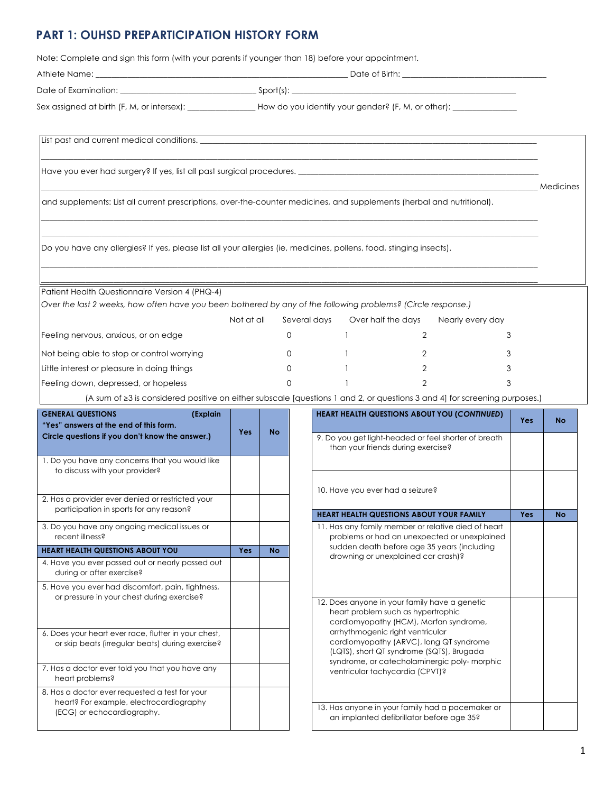#### **PART 1: OUHSD PREPARTICIPATION HISTORY FORM**

Note: Complete and sign this form (with your parents if younger than 18) before your appointment.

Athlete Name: \_\_\_\_\_\_\_\_\_\_\_\_\_\_\_\_\_\_\_\_\_\_\_\_\_\_\_\_\_\_\_\_\_\_\_\_\_\_\_\_\_\_\_\_\_\_\_\_\_\_\_\_\_\_\_\_\_\_\_\_\_\_\_ Date of Birth: \_\_\_\_\_\_\_\_\_\_\_\_\_\_\_\_\_\_\_\_\_\_\_\_\_\_\_\_\_\_\_\_\_\_\_\_ Date of Examination: \_\_\_\_\_\_\_\_\_\_\_\_\_\_\_\_\_\_\_\_\_\_\_\_\_\_\_\_\_\_\_\_\_\_ Sport(s): \_\_\_\_\_\_\_\_\_\_\_\_\_\_\_\_\_\_\_\_\_\_\_\_\_\_\_\_\_\_\_\_\_\_\_\_\_\_\_\_\_\_\_\_\_\_\_\_\_\_\_\_\_\_\_\_ Sex assigned at birth (F, M, or intersex): \_\_\_\_\_\_\_\_\_\_\_\_\_\_\_\_\_\_\_How do you identify your gender? (F, M, or other): \_\_

 $\_$  , and the state of the state of the state of the state of the state of the state of the state of the state of the state of the state of the state of the state of the state of the state of the state of the state of the

 $\_$  , and the state of the state of the state of the state of the state of the state of the state of the state of the state of the state of the state of the state of the state of the state of the state of the state of the  $\_$  , and the state of the state of the state of the state of the state of the state of the state of the state of the state of the state of the state of the state of the state of the state of the state of the state of the

 $\_$  , and the state of the state of the state of the state of the state of the state of the state of the state of the state of the state of the state of the state of the state of the state of the state of the state of the  $\_$  , and the state of the state of the state of the state of the state of the state of the state of the state of the state of the state of the state of the state of the state of the state of the state of the state of the

\_\_\_\_\_\_\_\_\_\_\_\_\_\_\_\_\_\_\_\_\_\_\_\_\_\_\_\_\_\_\_\_\_\_\_\_\_\_\_\_\_\_\_\_\_\_\_\_\_\_\_\_\_\_\_\_\_\_\_\_\_\_\_\_\_\_\_\_\_\_\_\_\_\_\_\_\_\_\_\_\_\_\_\_\_\_\_\_\_\_\_\_\_\_\_\_\_\_\_\_\_\_\_\_\_\_\_\_\_\_\_\_\_\_\_\_\_\_\_\_\_\_\_\_ Medicines

List past and current medical conditions.

Have you ever had surgery? If yes, list all past surgical procedures. \_

and supplements: List all current prescriptions, over-the-counter medicines, and supplements (herbal and nutritional).

Do you have any allergies? If yes, please list all your allergies (ie, medicines, pollens, food, stinging insects).

Patient Health Questionnaire Version 4 (PHQ-4)

*Over the last 2 weeks, how often have you been bothered by any of the following problems? (Circle response.)* 

|                                             | Not at all | Several days | Over half the days | Nearly every day |
|---------------------------------------------|------------|--------------|--------------------|------------------|
| Feeling nervous, anxious, or on edge        |            |              |                    |                  |
| Not being able to stop or control worrying  |            |              |                    |                  |
| Little interest or pleasure in doing things |            |              |                    |                  |
| Feeling down, depressed, or hopeless        |            |              |                    |                  |

(A sum of ≥3 is considered positive on either subscale [questions 1 and 2, or questions 3 and 4] for screening purposes.)

| <b>GENERAL QUESTIONS</b><br>(Explain<br>"Yes" answers at the end of this form.                           | Yes        | <b>No</b> | <b>HEART HEALTH QUESTIONS ABOUT YOU (CONTINUED)</b>                                                                                                                     |
|----------------------------------------------------------------------------------------------------------|------------|-----------|-------------------------------------------------------------------------------------------------------------------------------------------------------------------------|
| Circle questions if you don't know the answer.)                                                          |            |           | 9. Do you get light-headed or feel shorter of breath<br>than your friends during exercise?                                                                              |
| 1. Do you have any concerns that you would like<br>to discuss with your provider?                        |            |           |                                                                                                                                                                         |
| 2. Has a provider ever denied or restricted your                                                         |            |           | 10. Have you ever had a seizure?                                                                                                                                        |
| participation in sports for any reason?                                                                  |            |           | <b>HEART HEALTH QUESTIONS ABOUT YOUR FAMILY</b>                                                                                                                         |
| 3. Do you have any ongoing medical issues or<br>recent illness?                                          |            |           | 11. Has any family member or relative died of heart<br>problems or had an unexpected or unexplained                                                                     |
| <b>HEART HEALTH QUESTIONS ABOUT YOU</b>                                                                  | <b>Yes</b> | <b>No</b> | sudden death before age 35 years (including                                                                                                                             |
| 4. Have you ever passed out or nearly passed out<br>during or after exercise?                            |            |           | drowning or unexplained car crash)?                                                                                                                                     |
| 5. Have you ever had discomfort, pain, tightness,<br>or pressure in your chest during exercise?          |            |           |                                                                                                                                                                         |
|                                                                                                          |            |           | 12. Does anyone in your family have a genetic<br>heart problem such as hypertrophic<br>cardiomyopathy (HCM), Marfan syndrome,                                           |
| 6. Does your heart ever race, flutter in your chest,<br>or skip beats (irregular beats) during exercise? |            |           | arrhythmogenic right ventricular<br>cardiomyopathy (ARVC), long QT syndrome<br>(LQTS), short QT syndrome (SQTS), Brugada<br>syndrome, or catecholaminergic poly-morphic |
| 7. Has a doctor ever told you that you have any<br>heart problems?                                       |            |           | ventricular tachycardia (CPVT)?                                                                                                                                         |
| 8. Has a doctor ever requested a test for your                                                           |            |           |                                                                                                                                                                         |
| heart? For example, electrocardiography<br>(ECG) or echocardiography.                                    |            |           | 13. Has anyone in your family had a pacemaker or<br>an implanted defibrillator before age 35?                                                                           |

| <b>IERAL QUESTIONS</b><br>(Explain<br>s" answers at the end of this form.                            | <b>Yes</b> | <b>No</b> | <b>HEART HEALTH QUESTIONS ABOUT YOU (CONTINUED)</b>                                                                                                                     | <b>Yes</b> | <b>No</b> |
|------------------------------------------------------------------------------------------------------|------------|-----------|-------------------------------------------------------------------------------------------------------------------------------------------------------------------------|------------|-----------|
| le questions if you don't know the answer.)                                                          |            |           | 9. Do you get light-headed or feel shorter of breath<br>than your friends during exercise?                                                                              |            |           |
| o you have any concerns that you would like<br>to discuss with your provider?                        |            |           |                                                                                                                                                                         |            |           |
| as a provider ever denied or restricted your<br>participation in sports for any reason?              |            |           | 10. Have you ever had a seizure?                                                                                                                                        |            |           |
|                                                                                                      |            |           | <b>HEART HEALTH QUESTIONS ABOUT YOUR FAMILY</b>                                                                                                                         | <b>Yes</b> | <b>No</b> |
| o you have any ongoing medical issues or<br>recent illness?                                          |            |           | 11. Has any family member or relative died of heart<br>problems or had an unexpected or unexplained                                                                     |            |           |
| <b>RT HEALTH QUESTIONS ABOUT YOU</b>                                                                 | <b>Yes</b> | <b>No</b> | sudden death before age 35 years (including<br>drowning or unexplained car crash)?                                                                                      |            |           |
| ave you ever passed out or nearly passed out<br>during or after exercise?                            |            |           |                                                                                                                                                                         |            |           |
| ave you ever had discomfort, pain, tightness,<br>or pressure in your chest during exercise?          |            |           |                                                                                                                                                                         |            |           |
|                                                                                                      |            |           | 12. Does anyone in your family have a genetic<br>heart problem such as hypertrophic<br>cardiomyopathy (HCM), Marfan syndrome,                                           |            |           |
| oes your heart ever race, flutter in your chest,<br>or skip beats (irregular beats) during exercise? |            |           | arrhythmogenic right ventricular<br>cardiomyopathy (ARVC), long QT syndrome<br>(LQTS), short QT syndrome (SQTS), Brugada<br>syndrome, or catecholaminergic poly-morphic |            |           |
| as a doctor ever told you that you have any<br>heart problems?                                       |            |           | ventricular tachycardia (CPVT)?                                                                                                                                         |            |           |
| as a doctor ever requested a test for your<br>heart? For example, electrocardiography                |            |           |                                                                                                                                                                         |            |           |
| (ECG) or echocardiography.                                                                           |            |           | 13. Has anyone in your family had a pacemaker or<br>an implanted defibrillator before age 35?                                                                           |            |           |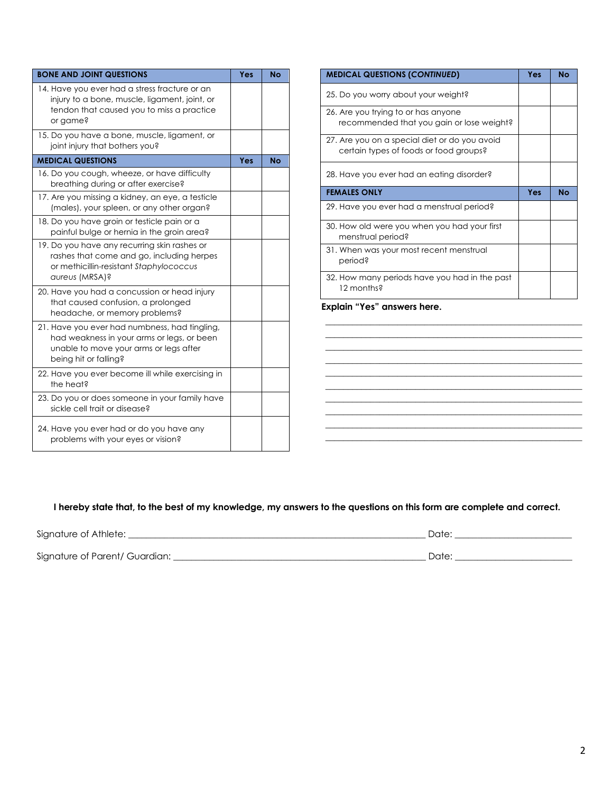| <b>BONE AND JOINT QUESTIONS</b>                                                                                                                                | Yes | <b>No</b> |
|----------------------------------------------------------------------------------------------------------------------------------------------------------------|-----|-----------|
| 14. Have you ever had a stress fracture or an<br>injury to a bone, muscle, ligament, joint, or<br>tendon that caused you to miss a practice<br>or game?        |     |           |
| 15. Do you have a bone, muscle, ligament, or<br>joint injury that bothers you?                                                                                 |     |           |
| <b>MEDICAL QUESTIONS</b>                                                                                                                                       | Yes | No        |
| 16. Do you cough, wheeze, or have difficulty<br>breathing during or after exercise?                                                                            |     |           |
| 17. Are you missing a kidney, an eye, a testicle<br>(males), your spleen, or any other organ?                                                                  |     |           |
| 18. Do you have groin or testicle pain or a<br>painful bulge or hernia in the groin area?                                                                      |     |           |
| 19. Do you have any recurring skin rashes or<br>rashes that come and go, including herpes<br>or methicillin-resistant Staphylococcus<br>aureus (MRSA)?         |     |           |
| 20. Have you had a concussion or head injury<br>that caused confusion, a prolonged<br>headache, or memory problems?                                            |     |           |
| 21. Have you ever had numbness, had tingling,<br>had weakness in your arms or legs, or been<br>unable to move your arms or legs after<br>being hit or falling? |     |           |
| 22. Have you ever become ill while exercising in<br>the heat?                                                                                                  |     |           |
| 23. Do you or does someone in your family have<br>sickle cell trait or disease?                                                                                |     |           |
| 24. Have you ever had or do you have any<br>problems with your eyes or vision?                                                                                 |     |           |

| <b>MEDICAL QUESTIONS (CONTINUED)</b>                                                    | Yes | <b>No</b> |
|-----------------------------------------------------------------------------------------|-----|-----------|
| 25. Do you worry about your weight?                                                     |     |           |
| 26. Are you trying to or has anyone<br>recommended that you gain or lose weight?        |     |           |
| 27. Are you on a special diet or do you avoid<br>certain types of foods or food groups? |     |           |
| 28. Have you ever had an eating disorder?                                               |     |           |
| <b>FEMALES ONLY</b>                                                                     | Yes | No        |
| 29. Have you ever had a menstrual period?                                               |     |           |
|                                                                                         |     |           |
| 30. How old were you when you had your first<br>menstrual period?                       |     |           |
| 31. When was your most recent menstrual<br>period?                                      |     |           |
| 32. How many periods have you had in the past<br>12 months?                             |     |           |

**\_\_\_\_\_\_\_\_\_\_\_\_\_\_\_\_\_\_\_\_\_\_\_\_\_\_\_\_\_\_\_\_\_\_\_\_\_\_\_\_\_\_\_\_\_\_\_\_\_\_\_\_\_\_\_\_\_ \_\_\_\_\_\_\_\_\_\_\_\_\_\_\_\_\_\_\_\_\_\_\_\_\_\_\_\_\_\_\_\_\_\_\_\_\_\_\_\_\_\_\_\_\_\_\_\_\_\_\_\_\_\_\_\_\_ \_\_\_\_\_\_\_\_\_\_\_\_\_\_\_\_\_\_\_\_\_\_\_\_\_\_\_\_\_\_\_\_\_\_\_\_\_\_\_\_\_\_\_\_\_\_\_\_\_\_\_\_\_\_\_\_\_ \_\_\_\_\_\_\_\_\_\_\_\_\_\_\_\_\_\_\_\_\_\_\_\_\_\_\_\_\_\_\_\_\_\_\_\_\_\_\_\_\_\_\_\_\_\_\_\_\_\_\_\_\_\_\_\_\_ \_\_\_\_\_\_\_\_\_\_\_\_\_\_\_\_\_\_\_\_\_\_\_\_\_\_\_\_\_\_\_\_\_\_\_\_\_\_\_\_\_\_\_\_\_\_\_\_\_\_\_\_\_\_\_\_\_ \_\_\_\_\_\_\_\_\_\_\_\_\_\_\_\_\_\_\_\_\_\_\_\_\_\_\_\_\_\_\_\_\_\_\_\_\_\_\_\_\_\_\_\_\_\_\_\_\_\_\_\_\_\_\_\_\_ \_\_\_\_\_\_\_\_\_\_\_\_\_\_\_\_\_\_\_\_\_\_\_\_\_\_\_\_\_\_\_\_\_\_\_\_\_\_\_\_\_\_\_\_\_\_\_\_\_\_\_\_\_\_\_\_\_ \_\_\_\_\_\_\_\_\_\_\_\_\_\_\_\_\_\_\_\_\_\_\_\_\_\_\_\_\_\_\_\_\_\_\_\_\_\_\_\_\_\_\_\_\_\_\_\_\_\_\_\_\_\_\_\_\_ \_\_\_\_\_\_\_\_\_\_\_\_\_\_\_\_\_\_\_\_\_\_\_\_\_\_\_\_\_\_\_\_\_\_\_\_\_\_\_\_\_\_\_\_\_\_\_\_\_\_\_\_\_\_\_\_\_ \_\_\_\_\_\_\_\_\_\_\_\_\_\_\_\_\_\_\_\_\_\_\_\_\_\_\_\_\_\_\_\_\_\_\_\_\_\_\_\_\_\_\_\_\_\_\_\_\_\_\_\_\_\_\_\_\_**

**Explain "Yes" answers here.**

#### **I hereby state that, to the best of my knowledge, my answers to the questions on this form are complete and correct.**

| Signature of Athlete:          | Date: |
|--------------------------------|-------|
|                                |       |
| Signature of Parent/ Guardian: | Date: |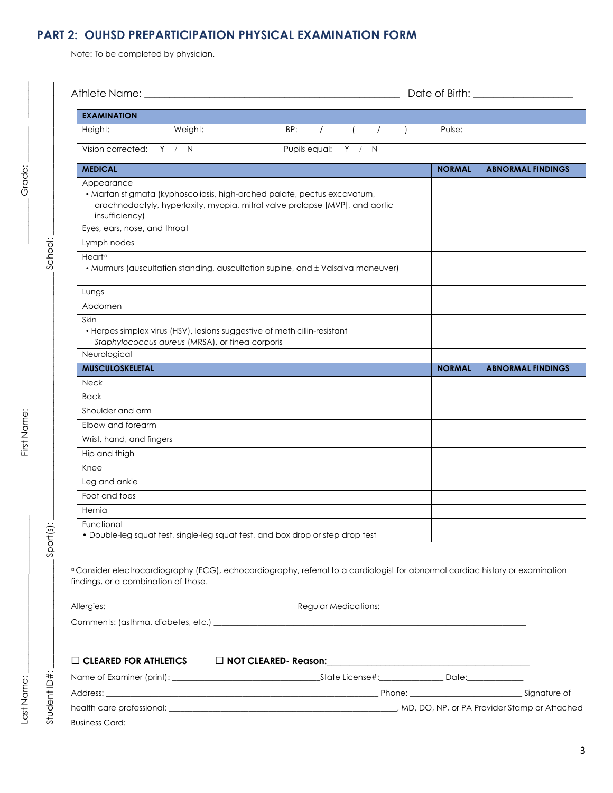# **PART 2: OUHSD PREPARTICIPATION PHYSICAL EXAMINATION FORM**

Note: To be completed by physician.

| <b>EXAMINATION</b>                                                                                                                                                                       |                                  |  |               |                          |  |
|------------------------------------------------------------------------------------------------------------------------------------------------------------------------------------------|----------------------------------|--|---------------|--------------------------|--|
| Weight:<br>Height:                                                                                                                                                                       | $($ $/$ $)$<br>BP:<br>$\sqrt{2}$ |  | Pulse:        |                          |  |
| Vision corrected: Y / N                                                                                                                                                                  | Pupils equal: Y / N              |  |               |                          |  |
| <b>MEDICAL</b>                                                                                                                                                                           |                                  |  | <b>NORMAL</b> | <b>ABNORMAL FINDINGS</b> |  |
| Appearance<br>· Marfan stigmata (kyphoscoliosis, high-arched palate, pectus excavatum,<br>arachnodactyly, hyperlaxity, myopia, mitral valve prolapse [MVP], and aortic<br>insufficiency) |                                  |  |               |                          |  |
| Eyes, ears, nose, and throat                                                                                                                                                             |                                  |  |               |                          |  |
| Lymph nodes                                                                                                                                                                              |                                  |  |               |                          |  |
| Heart <sup>a</sup><br>• Murmurs (auscultation standing, auscultation supine, and ± Valsalva maneuver)                                                                                    |                                  |  |               |                          |  |
| Lungs                                                                                                                                                                                    |                                  |  |               |                          |  |
| Abdomen                                                                                                                                                                                  |                                  |  |               |                          |  |
| Skin<br>• Herpes simplex virus (HSV), lesions suggestive of methicillin-resistant<br>Staphylococcus aureus (MRSA), or tinea corporis                                                     |                                  |  |               |                          |  |
| Neurological                                                                                                                                                                             |                                  |  |               |                          |  |
| <b>MUSCULOSKELETAL</b>                                                                                                                                                                   |                                  |  | <b>NORMAL</b> | <b>ABNORMAL FINDINGS</b> |  |
| <b>Neck</b>                                                                                                                                                                              |                                  |  |               |                          |  |
| <b>Back</b>                                                                                                                                                                              |                                  |  |               |                          |  |
| Shoulder and arm                                                                                                                                                                         |                                  |  |               |                          |  |
| Elbow and forearm                                                                                                                                                                        |                                  |  |               |                          |  |
| Wrist, hand, and fingers                                                                                                                                                                 |                                  |  |               |                          |  |
| Hip and thigh                                                                                                                                                                            |                                  |  |               |                          |  |
| Knee                                                                                                                                                                                     |                                  |  |               |                          |  |
| Leg and ankle                                                                                                                                                                            |                                  |  |               |                          |  |
| Foot and toes                                                                                                                                                                            |                                  |  |               |                          |  |
| Hernia                                                                                                                                                                                   |                                  |  |               |                          |  |
| Functional<br>• Double-leg squat test, single-leg squat test, and box drop or step drop test                                                                                             |                                  |  |               |                          |  |
| <sup>a</sup> Consider electrocardiography (ECG), echocardiography, referral to a cardiologist for abnormal cardiac history or examination<br>findings, or a combination of those.        |                                  |  |               |                          |  |
| $\Box$ CLEARED FOR ATHLETICS                                                                                                                                                             |                                  |  |               |                          |  |
|                                                                                                                                                                                          |                                  |  |               |                          |  |
|                                                                                                                                                                                          |                                  |  |               |                          |  |
|                                                                                                                                                                                          |                                  |  |               |                          |  |

Student ID#:

Student ID#:

 $Sort(s)$ :

 $\_{\tt Soft}(\dot s) : \begin{array}{c} \dotsc \end{array}$ 

First Name:

School:

Grade: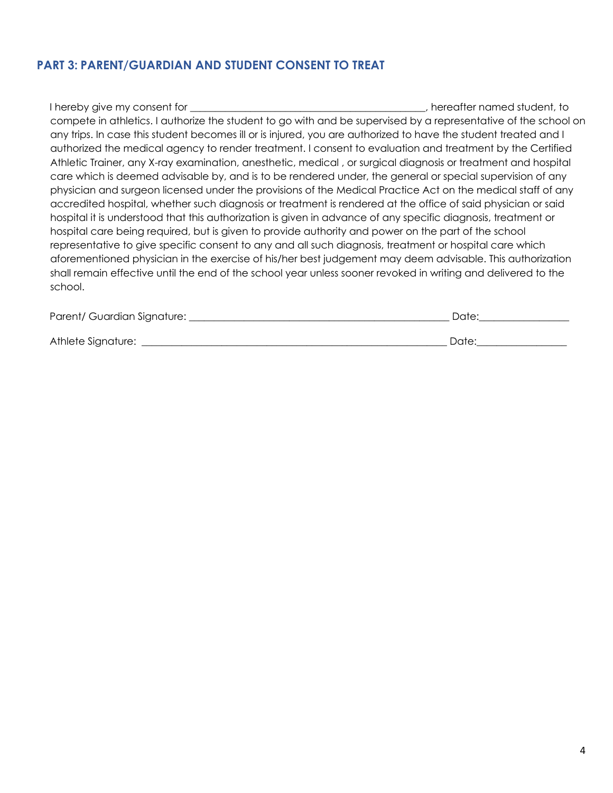## **PART 3: PARENT/GUARDIAN AND STUDENT CONSENT TO TREAT**

| I hereby give my consent for                                                                                    | , hereafter named student, to |
|-----------------------------------------------------------------------------------------------------------------|-------------------------------|
| compete in athletics. I authorize the student to go with and be supervised by a representative of the school on |                               |
| any trips. In case this student becomes ill or is injured, you are authorized to have the student treated and I |                               |
| authorized the medical agency to render treatment. I consent to evaluation and treatment by the Certified       |                               |
| Athletic Trainer, any X-ray examination, anesthetic, medical, or surgical diagnosis or treatment and hospital   |                               |
| care which is deemed advisable by, and is to be rendered under, the general or special supervision of any       |                               |
| physician and surgeon licensed under the provisions of the Medical Practice Act on the medical staff of any     |                               |
| accredited hospital, whether such diagnosis or treatment is rendered at the office of said physician or said    |                               |
| hospital it is understood that this authorization is given in advance of any specific diagnosis, treatment or   |                               |
| hospital care being required, but is given to provide authority and power on the part of the school             |                               |
| representative to give specific consent to any and all such diagnosis, treatment or hospital care which         |                               |
| aforementioned physician in the exercise of his/her best judgement may deem advisable. This authorization       |                               |
| shall remain effective until the end of the school year unless sooner revoked in writing and delivered to the   |                               |
| school.                                                                                                         |                               |

| Parent/ Guardian Signature: |  |
|-----------------------------|--|
|                             |  |

Athlete Signature: \_\_\_\_\_\_\_\_\_\_\_\_\_\_\_\_\_\_\_\_\_\_\_\_\_\_\_\_\_\_\_\_\_\_\_\_\_\_\_\_\_\_\_\_\_\_\_\_\_\_\_\_\_\_\_\_\_\_\_\_\_ Date:\_\_\_\_\_\_\_\_\_\_\_\_\_\_\_\_\_\_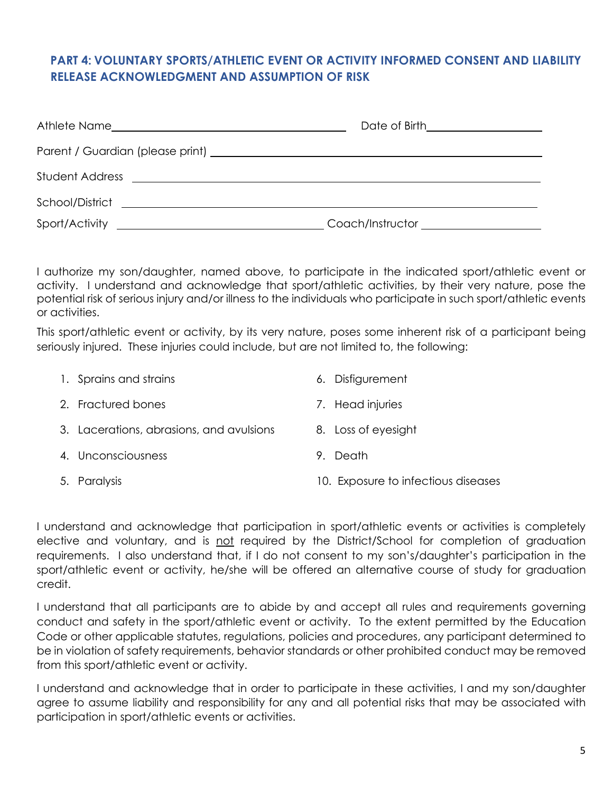### **PART 4: VOLUNTARY SPORTS/ATHLETIC EVENT OR ACTIVITY INFORMED CONSENT AND LIABILITY RELEASE ACKNOWLEDGMENT AND ASSUMPTION OF RISK**

| Date of Birth____________________            |
|----------------------------------------------|
|                                              |
|                                              |
|                                              |
| Coach/Instructor <u>____________________</u> |

I authorize my son/daughter, named above, to participate in the indicated sport/athletic event or activity. I understand and acknowledge that sport/athletic activities, by their very nature, pose the potential risk of serious injury and/or illness to the individuals who participate in such sport/athletic events or activities.

This sport/athletic event or activity, by its very nature, poses some inherent risk of a participant being seriously injured. These injuries could include, but are not limited to, the following:

| 1. Sprains and strains                   |    | 6. Disfigurement                    |
|------------------------------------------|----|-------------------------------------|
| 2. Fractured bones                       |    | 7. Head injuries                    |
| 3. Lacerations, abrasions, and avulsions |    | 8. Loss of eyesight                 |
| 4. Unconsciousness                       | 9. | Death                               |
| 5. Paralysis                             |    | 10. Exposure to infectious diseases |

I understand and acknowledge that participation in sport/athletic events or activities is completely elective and voluntary, and is not required by the District/School for completion of graduation requirements. I also understand that, if I do not consent to my son's/daughter's participation in the sport/athletic event or activity, he/she will be offered an alternative course of study for graduation credit.

I understand that all participants are to abide by and accept all rules and requirements governing conduct and safety in the sport/athletic event or activity. To the extent permitted by the Education Code or other applicable statutes, regulations, policies and procedures, any participant determined to be in violation of safety requirements, behavior standards or other prohibited conduct may be removed from this sport/athletic event or activity.

I understand and acknowledge that in order to participate in these activities, I and my son/daughter agree to assume liability and responsibility for any and all potential risks that may be associated with participation in sport/athletic events or activities.